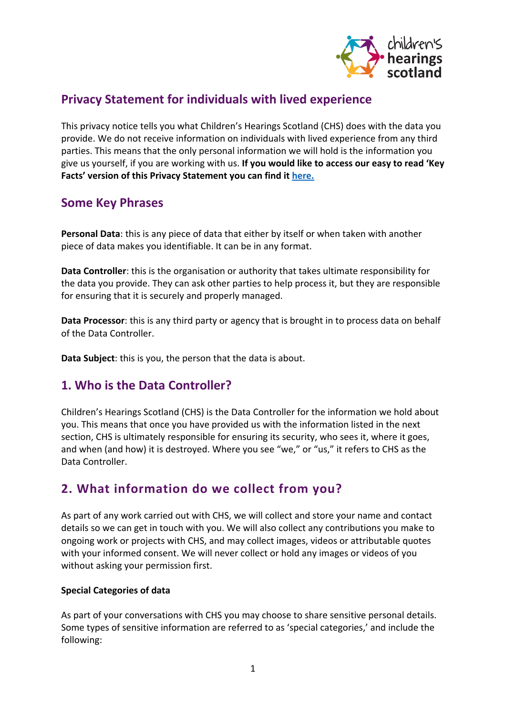

# **Privacy Statement for individuals with lived experience**

This privacy notice tells you what Children's Hearings Scotland (CHS) does with the data you provide. We do not receive information on individuals with lived experience from any third parties. This means that the only personal information we will hold is the information you give us yourself, if you are working with us. **If you would like to access our easy to read 'Key Facts' version of this Privacy Statement you can find it [here.](https://www.chscotland.gov.uk/privacy-information/)**

# **Some Key Phrases**

**Personal Data**: this is any piece of data that either by itself or when taken with another piece of data makes you identifiable. It can be in any format.

**Data Controller**: this is the organisation or authority that takes ultimate responsibility for the data you provide. They can ask other parties to help process it, but they are responsible for ensuring that it is securely and properly managed.

**Data Processor**: this is any third party or agency that is brought in to process data on behalf of the Data Controller.

**Data Subject**: this is you, the person that the data is about.

# **1. Who is the Data Controller?**

Children's Hearings Scotland (CHS) is the Data Controller for the information we hold about you. This means that once you have provided us with the information listed in the next section, CHS is ultimately responsible for ensuring its security, who sees it, where it goes, and when (and how) it is destroyed. Where you see "we," or "us," it refers to CHS as the Data Controller.

# **2. What information do we collect from you?**

As part of any work carried out with CHS, we will collect and store your name and contact details so we can get in touch with you. We will also collect any contributions you make to ongoing work or projects with CHS, and may collect images, videos or attributable quotes with your informed consent. We will never collect or hold any images or videos of you without asking your permission first.

## **Special Categories of data**

As part of your conversations with CHS you may choose to share sensitive personal details. Some types of sensitive information are referred to as 'special categories,' and include the following: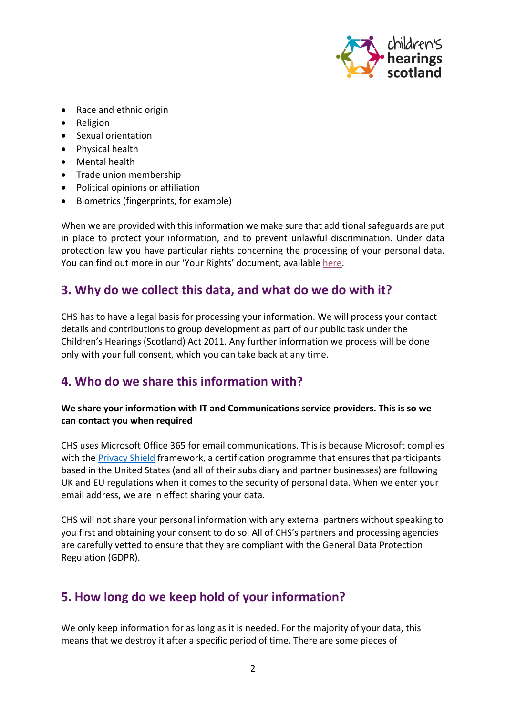

- Race and ethnic origin
- Religion
- Sexual orientation
- Physical health
- Mental health
- Trade union membership
- Political opinions or affiliation
- Biometrics (fingerprints, for example)

When we are provided with this information we make sure that additional safeguards are put in place to protect your information, and to prevent unlawful discrimination. Under data protection law you have particular rights concerning the processing of your personal data. You can find out more in our 'Your Rights' document, availabl[e here.](https://www.chscotland.gov.uk/media/4mnpgfyg/your-rights-v1-0.pdf)

## **3. Why do we collect this data, and what do we do with it?**

CHS has to have a legal basis for processing your information. We will process your contact details and contributions to group development as part of our public task under the Children's Hearings (Scotland) Act 2011. Any further information we process will be done only with your full consent, which you can take back at any time.

## **4. Who do we share this information with?**

## **We share your information with IT and Communications service providers. This is so we can contact you when required**

CHS uses Microsoft Office 365 for email communications. This is because Microsoft complies with the [Privacy Shield](https://www.privacyshield.gov/welcome) framework, a certification programme that ensures that participants based in the United States (and all of their subsidiary and partner businesses) are following UK and EU regulations when it comes to the security of personal data. When we enter your email address, we are in effect sharing your data.

CHS will not share your personal information with any external partners without speaking to you first and obtaining your consent to do so. All of CHS's partners and processing agencies are carefully vetted to ensure that they are compliant with the General Data Protection Regulation (GDPR).

# **5. How long do we keep hold of your information?**

We only keep information for as long as it is needed. For the majority of your data, this means that we destroy it after a specific period of time. There are some pieces of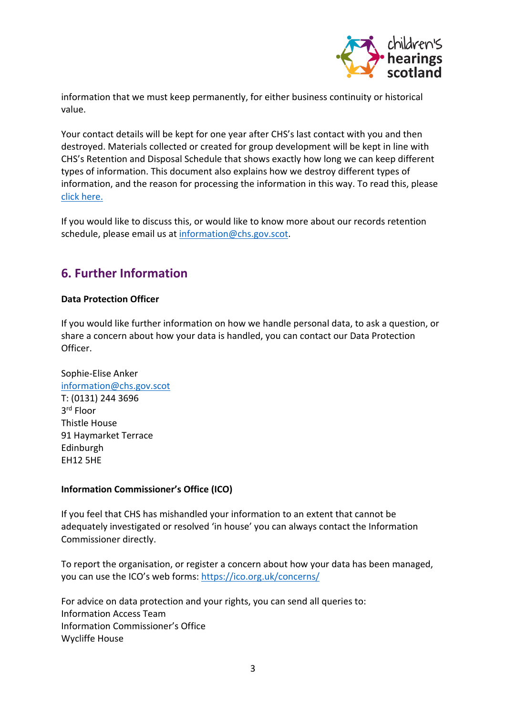

information that we must keep permanently, for either business continuity or historical value.

Your contact details will be kept for one year after CHS's last contact with you and then destroyed. Materials collected or created for group development will be kept in line with CHS's Retention and Disposal Schedule that shows exactly how long we can keep different types of information. This document also explains how we destroy different types of information, and the reason for processing the information in this way. To read this, please [click here.](https://www.chscotland.gov.uk/media/2xhfwf3q/chs-retention-and-disposal-schedule.pdf)

If you would like to discuss this, or would like to know more about our records retention schedule, please email us at [information@chs.gov.scot.](mailto:information@chs.gov.scot)

# **6. Further Information**

#### **Data Protection Officer**

If you would like further information on how we handle personal data, to ask a question, or share a concern about how your data is handled, you can contact our Data Protection Officer.

Sophie-Elise Anker [information@chs.gov.scot](mailto:information@chs.gov.scot) T: (0131) 244 3696 3rd Floor Thistle House 91 Haymarket Terrace Edinburgh EH12 5HE

## **Information Commissioner's Office (ICO)**

If you feel that CHS has mishandled your information to an extent that cannot be adequately investigated or resolved 'in house' you can always contact the Information Commissioner directly.

To report the organisation, or register a concern about how your data has been managed, you can use the ICO's web forms:<https://ico.org.uk/concerns/>

For advice on data protection and your rights, you can send all queries to: Information Access Team Information Commissioner's Office Wycliffe House